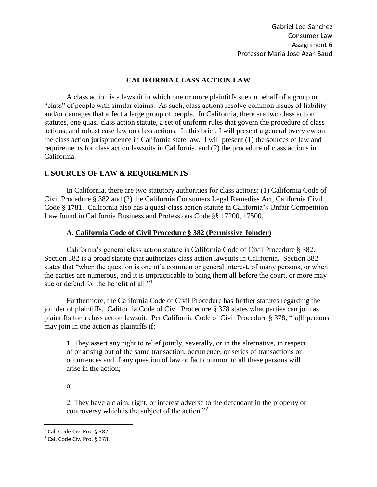## **CALIFORNIA CLASS ACTION LAW**

A class action is a lawsuit in which one or more plaintiffs sue on behalf of a group or "class" of people with similar claims. As such, class actions resolve common issues of liability and/or damages that affect a large group of people. In California, there are two class action statutes, one quasi-class action statute, a set of uniform rules that govern the procedure of class actions, and robust case law on class actions. In this brief, I will present a general overview on the class action jurisprudence in California state law. I will present (1) the sources of law and requirements for class action lawsuits in California, and (2) the procedure of class actions in California.

### **I. SOURCES OF LAW & REQUIREMENTS**

In California, there are two statutory authorities for class actions: (1) California Code of Civil Procedure § 382 and (2) the California Consumers Legal Remedies Act, California Civil Code § 1781. California also has a quasi-class action statute in California's Unfair Competition Law found in California Business and Professions Code §§ 17200, 17500.

### **A. California Code of Civil Procedure § 382 (Permissive Joinder)**

California's general class action statute is California Code of Civil Procedure § 382. Section 382 is a broad statute that authorizes class action lawsuits in California. Section 382 states that "when the question is one of a common or general interest, of many persons, or when the parties are numerous, and it is impracticable to bring them all before the court, or more may sue or defend for the benefit of all."<sup>1</sup>

Furthermore, the California Code of Civil Procedure has further statutes regarding the joinder of plaintiffs. California Code of Civil Procedure § 378 states what parties can join as plaintiffs for a class action lawsuit. Per California Code of Civil Procedure § 378, "[a]ll persons may join in one action as plaintiffs if:

1. They assert any right to relief jointly, severally, or in the alternative, in respect of or arising out of the same transaction, occurrence, or series of transactions or occurrences and if any question of law or fact common to all these persons will arise in the action;

or

 $\overline{a}$ 

2. They have a claim, right, or interest adverse to the defendant in the property or controversy which is the subject of the action."<sup>2</sup>

<sup>&</sup>lt;sup>1</sup> Cal. Code Civ. Pro. § 382.

<sup>2</sup> Cal. Code Civ. Pro. § 378.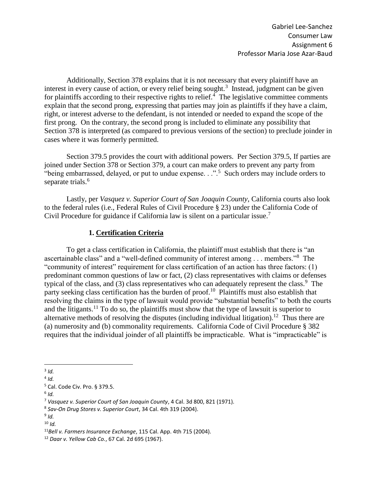Additionally, Section 378 explains that it is not necessary that every plaintiff have an interest in every cause of action, or every relief being sought.<sup>3</sup> Instead, judgment can be given for plaintiffs according to their respective rights to relief. $\frac{4}{1}$  The legislative committee comments explain that the second prong, expressing that parties may join as plaintiffs if they have a claim, right, or interest adverse to the defendant, is not intended or needed to expand the scope of the first prong. On the contrary, the second prong is included to eliminate any possibility that Section 378 is interpreted (as compared to previous versions of the section) to preclude joinder in cases where it was formerly permitted.

Section 379.5 provides the court with additional powers. Per Section 379.5, If parties are joined under Section 378 or Section 379, a court can make orders to prevent any party from "being embarrassed, delayed, or put to undue expense.  $\cdot$ .".<sup>5</sup> Such orders may include orders to separate trials.<sup>6</sup>

Lastly, per *Vasquez v. Superior Court of San Joaquin County*, California courts also look to the federal rules (i.e., Federal Rules of Civil Procedure § 23) under the California Code of Civil Procedure for guidance if California law is silent on a particular issue.<sup>7</sup>

### **1. Certification Criteria**

To get a class certification in California, the plaintiff must establish that there is "an ascertainable class" and a "well-defined community of interest among . . . members."<sup>8</sup> The "community of interest" requirement for class certification of an action has three factors: (1) predominant common questions of law or fact, (2) class representatives with claims or defenses typical of the class, and  $(3)$  class representatives who can adequately represent the class.<sup>9</sup> The party seeking class certification has the burden of proof.<sup>10</sup> Plaintiffs must also establish that resolving the claims in the type of lawsuit would provide "substantial benefits" to both the courts and the litigants.<sup>11</sup> To do so, the plaintiffs must show that the type of lawsuit is superior to alternative methods of resolving the disputes (including individual litigation).<sup>12</sup> Thus there are (a) numerosity and (b) commonality requirements. California Code of Civil Procedure § 382 requires that the individual joinder of all plaintiffs be impracticable. What is "impracticable" is

 $\overline{a}$ 3 *Id.*

<sup>4</sup> *Id.*

<sup>5</sup> Cal. Code Civ. Pro. § 379.5.

<sup>6</sup> *Id.*

<sup>7</sup> *Vasquez v. Superior Court of San Joaquin County*, 4 Cal. 3d 800, 821 (1971).

<sup>8</sup> *Sav-On Drug Stores v. Superior Court*, 34 Cal. 4th 319 (2004).

<sup>9</sup> *Id.*

<sup>10</sup> *Id.* 

<sup>11</sup>*Bell v. Farmers Insurance Exchange*, 115 Cal. App. 4th 715 (2004).

<sup>12</sup> *Daar v. Yellow Cab Co.*, 67 Cal. 2d 695 (1967).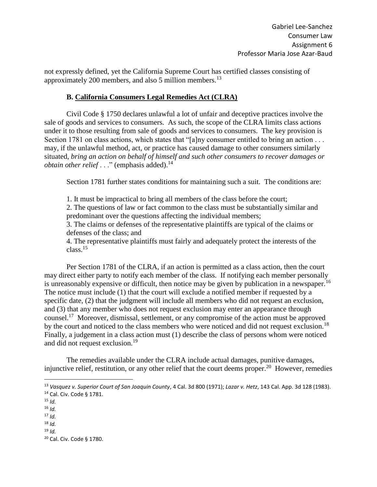not expressly defined, yet the California Supreme Court has certified classes consisting of approximately 200 members, and also 5 million members.<sup>13</sup>

### **B. California Consumers Legal Remedies Act (CLRA)**

Civil Code § 1750 declares unlawful a lot of unfair and deceptive practices involve the sale of goods and services to consumers. As such, the scope of the CLRA limits class actions under it to those resulting from sale of goods and services to consumers. The key provision is Section 1781 on class actions, which states that "[a]ny consumer entitled to bring an action . . . may, if the unlawful method, act, or practice has caused damage to other consumers similarly situated, *bring an action on behalf of himself and such other consumers to recover damages or obtain other relief* . . ." (emphasis added).<sup>14</sup>

Section 1781 further states conditions for maintaining such a suit. The conditions are:

1. It must be impractical to bring all members of the class before the court;

2. The questions of law or fact common to the class must be substantially similar and predominant over the questions affecting the individual members;

3. The claims or defenses of the representative plaintiffs are typical of the claims or defenses of the class; and

4. The representative plaintiffs must fairly and adequately protect the interests of the class.<sup>15</sup>

Per Section 1781 of the CLRA, if an action is permitted as a class action, then the court may direct either party to notify each member of the class. If notifying each member personally is unreasonably expensive or difficult, then notice may be given by publication in a newspaper.<sup>16</sup> The notice must include (1) that the court will exclude a notified member if requested by a specific date, (2) that the judgment will include all members who did not request an exclusion, and (3) that any member who does not request exclusion may enter an appearance through counsel.<sup>17</sup> Moreover, dismissal, settlement, or any compromise of the action must be approved by the court and noticed to the class members who were noticed and did not request exclusion.<sup>18</sup> Finally, a judgement in a class action must (1) describe the class of persons whom were noticed and did not request exclusion.<sup>19</sup>

The remedies available under the CLRA include actual damages, punitive damages, injunctive relief, restitution, or any other relief that the court deems proper.<sup>20</sup> However, remedies

<sup>13</sup> *Vasquez v. Superior Court of San Joaquin County*, 4 Cal. 3d 800 (1971); *Lazar v. Hetz*, 143 Cal. App. 3d 128 (1983). <sup>14</sup> Cal. Civ. Code § 1781.

 $15$  *Id.* 

<sup>16</sup> *Id.*

<sup>17</sup> *Id.*

<sup>18</sup> *Id.*

<sup>19</sup> *Id.*

<sup>20</sup> Cal. Civ. Code § 1780.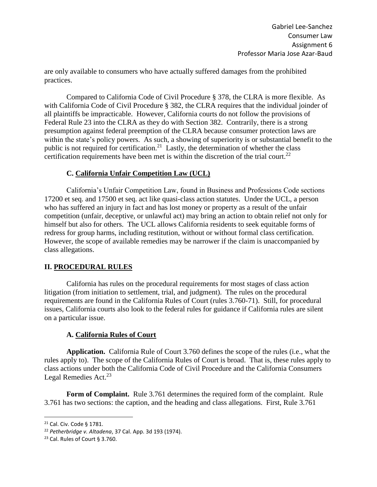are only available to consumers who have actually suffered damages from the prohibited practices.

Compared to California Code of Civil Procedure § 378, the CLRA is more flexible. As with California Code of Civil Procedure § 382, the CLRA requires that the individual joinder of all plaintiffs be impracticable. However, California courts do not follow the provisions of Federal Rule 23 into the CLRA as they do with Section 382. Contrarily, there is a strong presumption against federal preemption of the CLRA because consumer protection laws are within the state's policy powers. As such, a showing of superiority is or substantial benefit to the public is not required for certification.<sup>21</sup> Lastly, the determination of whether the class certification requirements have been met is within the discretion of the trial court.<sup>22</sup>

## **C. California Unfair Competition Law (UCL)**

California's Unfair Competition Law, found in Business and Professions Code sections 17200 et seq. and 17500 et seq. act like quasi-class action statutes. Under the UCL, a person who has suffered an injury in fact and has lost money or property as a result of the unfair competition (unfair, deceptive, or unlawful act) may bring an action to obtain relief not only for himself but also for others. The UCL allows California residents to seek equitable forms of redress for group harms, including restitution, without or without formal class certification. However, the scope of available remedies may be narrower if the claim is unaccompanied by class allegations.

## **II. PROCEDURAL RULES**

California has rules on the procedural requirements for most stages of class action litigation (from initiation to settlement, trial, and judgment). The rules on the procedural requirements are found in the California Rules of Court (rules 3.760-71). Still, for procedural issues, California courts also look to the federal rules for guidance if California rules are silent on a particular issue.

# **A. California Rules of Court**

**Application.** California Rule of Court 3.760 defines the scope of the rules (i.e., what the rules apply to). The scope of the California Rules of Court is broad. That is, these rules apply to class actions under both the California Code of Civil Procedure and the California Consumers Legal Remedies Act. $23$ 

**Form of Complaint.** Rule 3.761 determines the required form of the complaint. Rule 3.761 has two sections: the caption, and the heading and class allegations. First, Rule 3.761

<sup>21</sup> Cal. Civ. Code § 1781.

<sup>22</sup> *Petherbridge v. Altadena*, 37 Cal. App. 3d 193 (1974).

<sup>23</sup> Cal. Rules of Court § 3.760.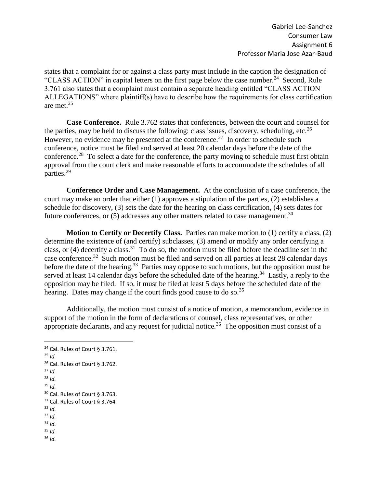states that a complaint for or against a class party must include in the caption the designation of "CLASS ACTION" in capital letters on the first page below the case number.<sup>24</sup> Second, Rule 3.761 also states that a complaint must contain a separate heading entitled "CLASS ACTION ALLEGATIONS" where plaintiff(s) have to describe how the requirements for class certification are met.<sup>25</sup>

**Case Conference.** Rule 3.762 states that conferences, between the court and counsel for the parties, may be held to discuss the following: class issues, discovery, scheduling, etc.<sup>26</sup> However, no evidence may be presented at the conference.<sup>27</sup> In order to schedule such conference, notice must be filed and served at least 20 calendar days before the date of the conference.<sup>28</sup> To select a date for the conference, the party moving to schedule must first obtain approval from the court clerk and make reasonable efforts to accommodate the schedules of all parties.<sup>29</sup>

**Conference Order and Case Management.** At the conclusion of a case conference, the court may make an order that either (1) approves a stipulation of the parties, (2) establishes a schedule for discovery, (3) sets the date for the hearing on class certification, (4) sets dates for future conferences, or  $(5)$  addresses any other matters related to case management.<sup>30</sup>

**Motion to Certify or Decertify Class.** Parties can make motion to (1) certify a class, (2) determine the existence of (and certify) subclasses, (3) amend or modify any order certifying a class, or  $(4)$  decertify a class.<sup>31</sup> To do so, the motion must be filed before the deadline set in the case conference.<sup>32</sup> Such motion must be filed and served on all parties at least 28 calendar days before the date of the hearing.<sup>33</sup> Parties may oppose to such motions, but the opposition must be served at least 14 calendar days before the scheduled date of the hearing.<sup>34</sup> Lastly, a reply to the opposition may be filed. If so, it must be filed at least 5 days before the scheduled date of the hearing. Dates may change if the court finds good cause to do so.<sup>35</sup>

Additionally, the motion must consist of a notice of motion, a memorandum, evidence in support of the motion in the form of declarations of counsel, class representatives, or other appropriate declarants, and any request for judicial notice.<sup>36</sup> The opposition must consist of a

<sup>24</sup> Cal. Rules of Court § 3.761.  $25$  *Id.*  $26$  Cal. Rules of Court § 3.762. <sup>27</sup> *Id.* <sup>28</sup> *Id.* <sup>29</sup> *Id.* <sup>30</sup> Cal. Rules of Court § 3.763. <sup>31</sup> Cal. Rules of Court § 3.764 <sup>32</sup> *Id.* <sup>33</sup> *Id.* <sup>34</sup> *Id.*  $35$  *Id.* <sup>36</sup> *Id.*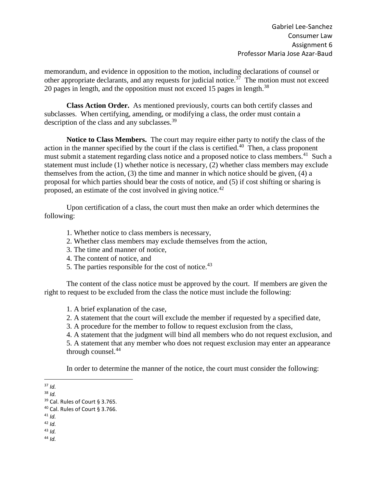memorandum, and evidence in opposition to the motion, including declarations of counsel or other appropriate declarants, and any requests for judicial notice.<sup>37</sup> The motion must not exceed 20 pages in length, and the opposition must not exceed 15 pages in length.<sup>38</sup>

**Class Action Order.** As mentioned previously, courts can both certify classes and subclasses. When certifying, amending, or modifying a class, the order must contain a description of the class and any subclasses.<sup>39</sup>

**Notice to Class Members.** The court may require either party to notify the class of the action in the manner specified by the court if the class is certified. $40$  Then, a class proponent must submit a statement regarding class notice and a proposed notice to class members.<sup>41</sup> Such a statement must include (1) whether notice is necessary, (2) whether class members may exclude themselves from the action, (3) the time and manner in which notice should be given, (4) a proposal for which parties should bear the costs of notice, and (5) if cost shifting or sharing is proposed, an estimate of the cost involved in giving notice.<sup>42</sup>

Upon certification of a class, the court must then make an order which determines the following:

- 1. Whether notice to class members is necessary,
- 2. Whether class members may exclude themselves from the action,
- 3. The time and manner of notice,
- 4. The content of notice, and
- 5. The parties responsible for the cost of notice.<sup>43</sup>

The content of the class notice must be approved by the court. If members are given the right to request to be excluded from the class the notice must include the following:

- 1. A brief explanation of the case,
- 2. A statement that the court will exclude the member if requested by a specified date,
- 3. A procedure for the member to follow to request exclusion from the class,
- 4. A statement that the judgment will bind all members who do not request exclusion, and

5. A statement that any member who does not request exclusion may enter an appearance through counsel. $^{44}$ 

In order to determine the manner of the notice, the court must consider the following:

 $\overline{a}$ 

<sup>44</sup> *Id.*

<sup>37</sup> *Id.*

<sup>38</sup> *Id.*

<sup>39</sup> Cal. Rules of Court § 3.765.

<sup>40</sup> Cal. Rules of Court § 3.766.

<sup>41</sup> *Id.*

<sup>42</sup> *Id.*

<sup>43</sup> *Id.*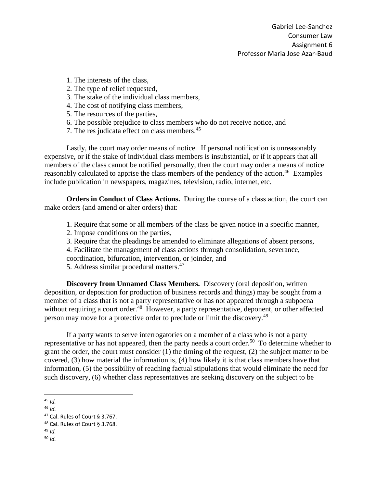- 1. The interests of the class,
- 2. The type of relief requested,
- 3. The stake of the individual class members,
- 4. The cost of notifying class members,
- 5. The resources of the parties,
- 6. The possible prejudice to class members who do not receive notice, and
- 7. The res judicata effect on class members.<sup>45</sup>

Lastly, the court may order means of notice. If personal notification is unreasonably expensive, or if the stake of individual class members is insubstantial, or if it appears that all members of the class cannot be notified personally, then the court may order a means of notice reasonably calculated to apprise the class members of the pendency of the action.<sup>46</sup> Examples include publication in newspapers, magazines, television, radio, internet, etc.

**Orders in Conduct of Class Actions.** During the course of a class action, the court can make orders (and amend or alter orders) that:

- 1. Require that some or all members of the class be given notice in a specific manner,
- 2. Impose conditions on the parties,
- 3. Require that the pleadings be amended to eliminate allegations of absent persons,
- 4. Facilitate the management of class actions through consolidation, severance,

coordination, bifurcation, intervention, or joinder, and

5. Address similar procedural matters.<sup>47</sup>

**Discovery from Unnamed Class Members.** Discovery (oral deposition, written deposition, or deposition for production of business records and things) may be sought from a member of a class that is not a party representative or has not appeared through a subpoena without requiring a court order.<sup>48</sup> However, a party representative, deponent, or other affected person may move for a protective order to preclude or limit the discovery.<sup>49</sup>

If a party wants to serve interrogatories on a member of a class who is not a party representative or has not appeared, then the party needs a court order.<sup>50</sup> To determine whether to grant the order, the court must consider (1) the timing of the request, (2) the subject matter to be covered, (3) how material the information is, (4) how likely it is that class members have that information, (5) the possibility of reaching factual stipulations that would eliminate the need for such discovery, (6) whether class representatives are seeking discovery on the subject to be

 $\overline{a}$ 

<sup>49</sup> *Id.* <sup>50</sup> *Id.*

<sup>45</sup> *Id.*

<sup>46</sup> *Id.*

<sup>47</sup> Cal. Rules of Court § 3.767.

<sup>48</sup> Cal. Rules of Court § 3.768.